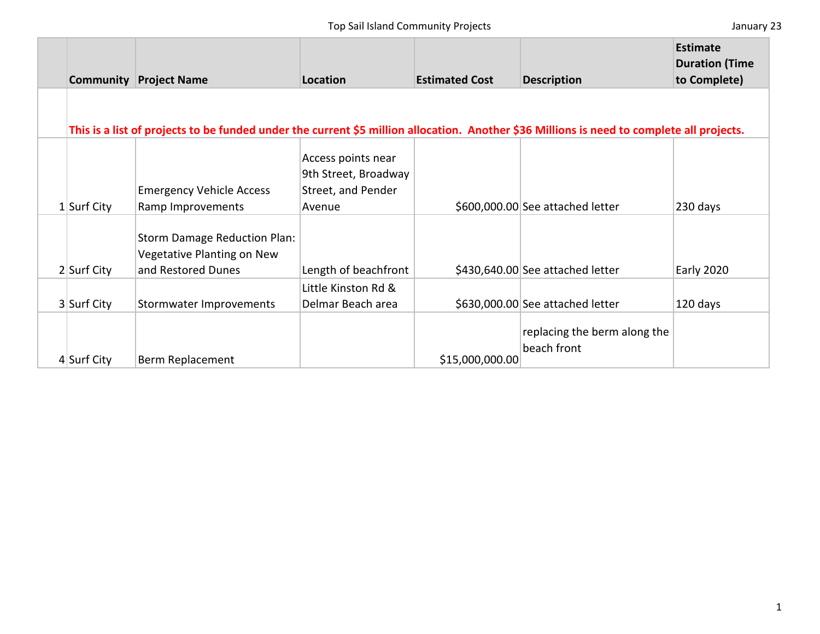## Top Sail Island Community Projects **January 23** January 23

|               | <b>Community Project Name</b>                                                                                                             | Location                                                                   | <b>Estimated Cost</b> | <b>Description</b>                          | <b>Estimate</b><br><b>Duration (Time</b><br>to Complete) |
|---------------|-------------------------------------------------------------------------------------------------------------------------------------------|----------------------------------------------------------------------------|-----------------------|---------------------------------------------|----------------------------------------------------------|
|               | This is a list of projects to be funded under the current \$5 million allocation. Another \$36 Millions is need to complete all projects. |                                                                            |                       |                                             |                                                          |
| $1$ Surf City | <b>Emergency Vehicle Access</b><br>Ramp Improvements                                                                                      | Access points near<br>9th Street, Broadway<br>Street, and Pender<br>Avenue |                       | \$600,000.00 See attached letter            | 230 days                                                 |
| 2 Surf City   | <b>Storm Damage Reduction Plan:</b><br>Vegetative Planting on New<br>and Restored Dunes                                                   | Length of beachfront                                                       |                       | \$430,640.00 See attached letter            | <b>Early 2020</b>                                        |
| 3 Surf City   | Stormwater Improvements                                                                                                                   | Little Kinston Rd &<br>Delmar Beach area                                   |                       | \$630,000.00 See attached letter            | 120 days                                                 |
| 4 Surf City   | Berm Replacement                                                                                                                          |                                                                            | \$15,000,000.00       | replacing the berm along the<br>beach front |                                                          |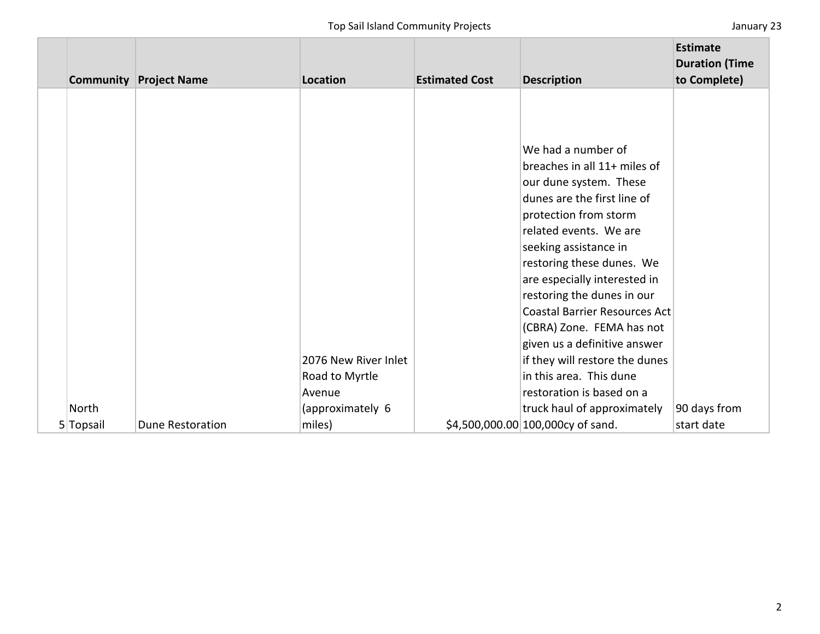|           |                               |                      |                       |                                   | <b>Estimate</b><br><b>Duration (Time</b> |
|-----------|-------------------------------|----------------------|-----------------------|-----------------------------------|------------------------------------------|
|           | <b>Community Project Name</b> | Location             | <b>Estimated Cost</b> | <b>Description</b>                | to Complete)                             |
|           |                               |                      |                       |                                   |                                          |
|           |                               |                      |                       |                                   |                                          |
|           |                               |                      |                       |                                   |                                          |
|           |                               |                      |                       | We had a number of                |                                          |
|           |                               |                      |                       | breaches in all 11+ miles of      |                                          |
|           |                               |                      |                       | our dune system. These            |                                          |
|           |                               |                      |                       | dunes are the first line of       |                                          |
|           |                               |                      |                       | protection from storm             |                                          |
|           |                               |                      |                       | related events. We are            |                                          |
|           |                               |                      |                       | seeking assistance in             |                                          |
|           |                               |                      |                       | restoring these dunes. We         |                                          |
|           |                               |                      |                       | are especially interested in      |                                          |
|           |                               |                      |                       | restoring the dunes in our        |                                          |
|           |                               |                      |                       | Coastal Barrier Resources Act     |                                          |
|           |                               |                      |                       | (CBRA) Zone. FEMA has not         |                                          |
|           |                               |                      |                       | given us a definitive answer      |                                          |
|           |                               | 2076 New River Inlet |                       | if they will restore the dunes    |                                          |
|           |                               | Road to Myrtle       |                       | in this area. This dune           |                                          |
|           |                               | Avenue               |                       | restoration is based on a         |                                          |
| North     |                               | (approximately 6     |                       | truck haul of approximately       | 90 days from                             |
| 5 Topsail | <b>Dune Restoration</b>       | miles)               |                       | $$4,500,000.00 100,000c$ of sand. | start date                               |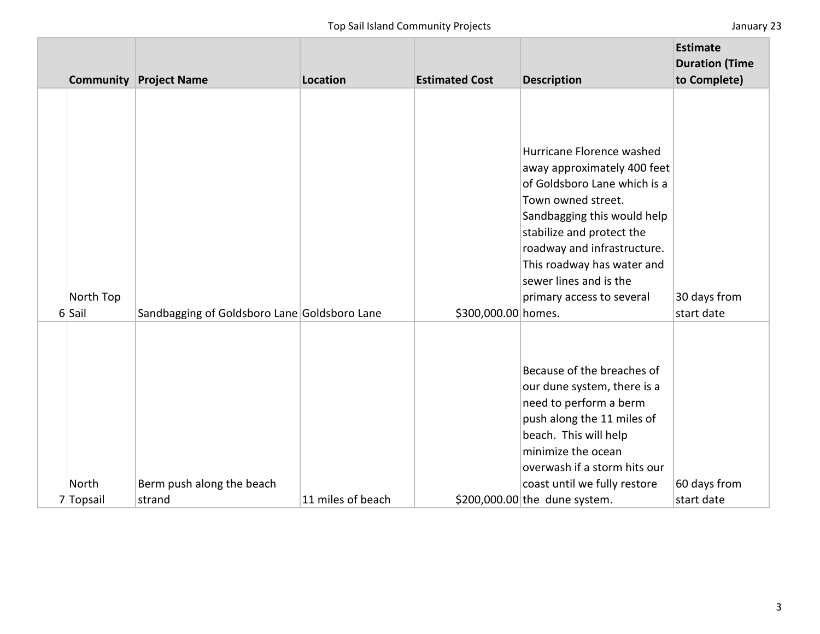|                  |                                              |                   |                       |                                                           | <b>Estimate</b><br><b>Duration (Time</b> |
|------------------|----------------------------------------------|-------------------|-----------------------|-----------------------------------------------------------|------------------------------------------|
| <b>Community</b> | <b>Project Name</b>                          | Location          | <b>Estimated Cost</b> | <b>Description</b>                                        | to Complete)                             |
|                  |                                              |                   |                       |                                                           |                                          |
|                  |                                              |                   |                       |                                                           |                                          |
|                  |                                              |                   |                       |                                                           |                                          |
|                  |                                              |                   |                       | Hurricane Florence washed                                 |                                          |
|                  |                                              |                   |                       | away approximately 400 feet                               |                                          |
|                  |                                              |                   |                       | of Goldsboro Lane which is a                              |                                          |
|                  |                                              |                   |                       | Town owned street.                                        |                                          |
|                  |                                              |                   |                       | Sandbagging this would help                               |                                          |
|                  |                                              |                   |                       | stabilize and protect the                                 |                                          |
|                  |                                              |                   |                       | roadway and infrastructure.<br>This roadway has water and |                                          |
|                  |                                              |                   |                       | sewer lines and is the                                    |                                          |
| North Top        |                                              |                   |                       | primary access to several                                 | 30 days from                             |
| 6 Sail           | Sandbagging of Goldsboro Lane Goldsboro Lane |                   | \$300,000.00 homes.   |                                                           | start date                               |
|                  |                                              |                   |                       |                                                           |                                          |
|                  |                                              |                   |                       |                                                           |                                          |
|                  |                                              |                   |                       | Because of the breaches of                                |                                          |
|                  |                                              |                   |                       | our dune system, there is a                               |                                          |
|                  |                                              |                   |                       | need to perform a berm                                    |                                          |
|                  |                                              |                   |                       | push along the 11 miles of                                |                                          |
|                  |                                              |                   |                       | beach. This will help                                     |                                          |
|                  |                                              |                   |                       | minimize the ocean                                        |                                          |
|                  |                                              |                   |                       | overwash if a storm hits our                              |                                          |
| <b>North</b>     | Berm push along the beach                    |                   |                       | coast until we fully restore                              | 60 days from                             |
| 7 Topsail        | strand                                       | 11 miles of beach |                       | \$200,000.00 the dune system.                             | start date                               |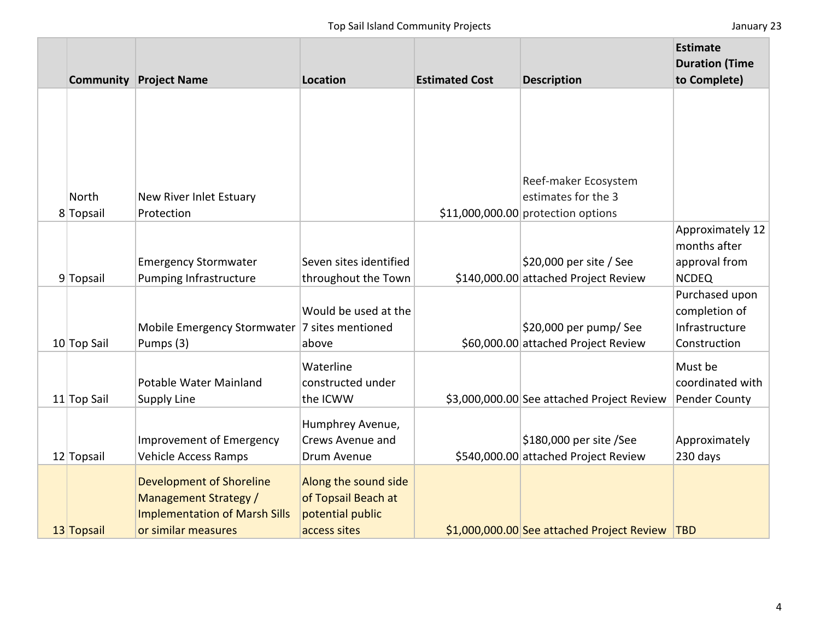|                        | <b>Community Project Name</b>                                                                                    | <b>Location</b>                                                                 | <b>Estimated Cost</b> | <b>Description</b>                                                                                     | <b>Estimate</b><br><b>Duration (Time</b><br>to Complete)          |
|------------------------|------------------------------------------------------------------------------------------------------------------|---------------------------------------------------------------------------------|-----------------------|--------------------------------------------------------------------------------------------------------|-------------------------------------------------------------------|
|                        |                                                                                                                  |                                                                                 |                       |                                                                                                        |                                                                   |
| <b>North</b>           | New River Inlet Estuary                                                                                          |                                                                                 |                       | Reef-maker Ecosystem<br>estimates for the 3                                                            |                                                                   |
| 8 Topsail<br>9 Topsail | Protection<br><b>Emergency Stormwater</b><br>Pumping Infrastructure                                              | Seven sites identified<br>throughout the Town                                   |                       | $$11,000,000.00$ protection options<br>\$20,000 per site / See<br>\$140,000.00 attached Project Review | Approximately 12<br>months after<br>approval from<br><b>NCDEQ</b> |
| 10 Top Sail            | Mobile Emergency Stormwater  7 sites mentioned<br>Pumps (3)                                                      | Would be used at the<br>above                                                   |                       | \$20,000 per pump/ See<br>\$60,000.00 attached Project Review                                          | Purchased upon<br>completion of<br>Infrastructure<br>Construction |
| 11 Top Sail            | Potable Water Mainland<br><b>Supply Line</b>                                                                     | Waterline<br>constructed under<br>the ICWW                                      |                       | \$3,000,000.00 See attached Project Review                                                             | Must be<br>coordinated with<br>Pender County                      |
| 12 Topsail             | Improvement of Emergency<br><b>Vehicle Access Ramps</b>                                                          | Humphrey Avenue,<br>Crews Avenue and<br>Drum Avenue                             |                       | \$180,000 per site /See<br>\$540,000.00 attached Project Review                                        | Approximately<br>230 days                                         |
| 13 Topsail             | Development of Shoreline<br>Management Strategy /<br><b>Implementation of Marsh Sills</b><br>or similar measures | Along the sound side<br>of Topsail Beach at<br>potential public<br>access sites |                       | \$1,000,000.00 See attached Project Review                                                             | <b>TBD</b>                                                        |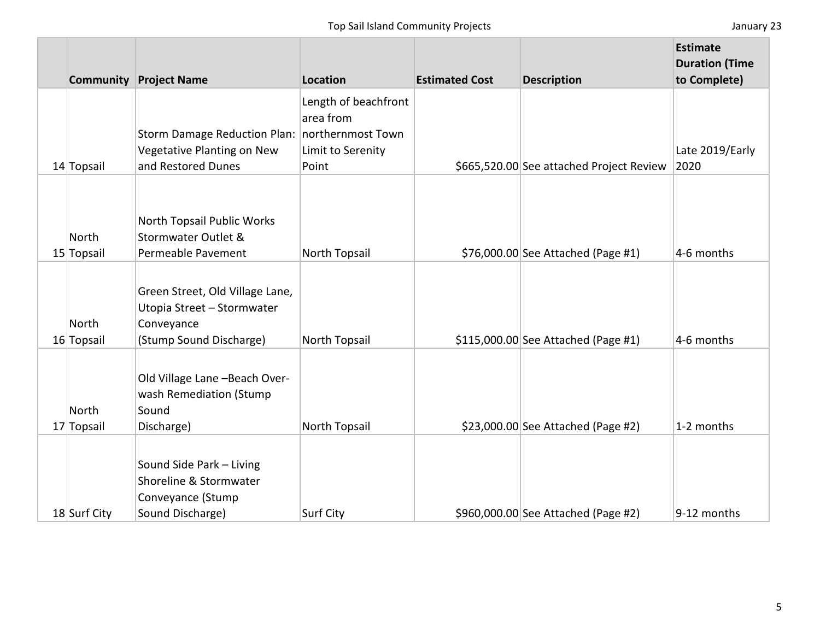|                            |                                                                                                        |                                                                 |                       |                                          | <b>Estimate</b><br><b>Duration (Time</b> |
|----------------------------|--------------------------------------------------------------------------------------------------------|-----------------------------------------------------------------|-----------------------|------------------------------------------|------------------------------------------|
|                            | <b>Community Project Name</b>                                                                          | Location                                                        | <b>Estimated Cost</b> | <b>Description</b>                       | to Complete)                             |
| 14 Topsail                 | Storm Damage Reduction Plan: northernmost Town<br>Vegetative Planting on New<br>and Restored Dunes     | Length of beachfront<br>area from<br>Limit to Serenity<br>Point |                       | \$665,520.00 See attached Project Review | Late 2019/Early<br>2020                  |
| <b>North</b><br>15 Topsail | North Topsail Public Works<br><b>Stormwater Outlet &amp;</b><br>Permeable Pavement                     | North Topsail                                                   |                       | \$76,000.00 See Attached (Page #1)       | 4-6 months                               |
| North<br>16 Topsail        | Green Street, Old Village Lane,<br>Utopia Street - Stormwater<br>Conveyance<br>(Stump Sound Discharge) | North Topsail                                                   |                       | \$115,000.00 See Attached (Page #1)      | 4-6 months                               |
| <b>North</b><br>17 Topsail | Old Village Lane -Beach Over-<br>wash Remediation (Stump<br>Sound<br>Discharge)                        | North Topsail                                                   |                       | $$23,000.00$ See Attached (Page #2)      | 1-2 months                               |
| 18 Surf City               | Sound Side Park - Living<br>Shoreline & Stormwater<br>Conveyance (Stump<br>Sound Discharge)            | Surf City                                                       |                       | \$960,000.00 See Attached (Page #2)      | 9-12 months                              |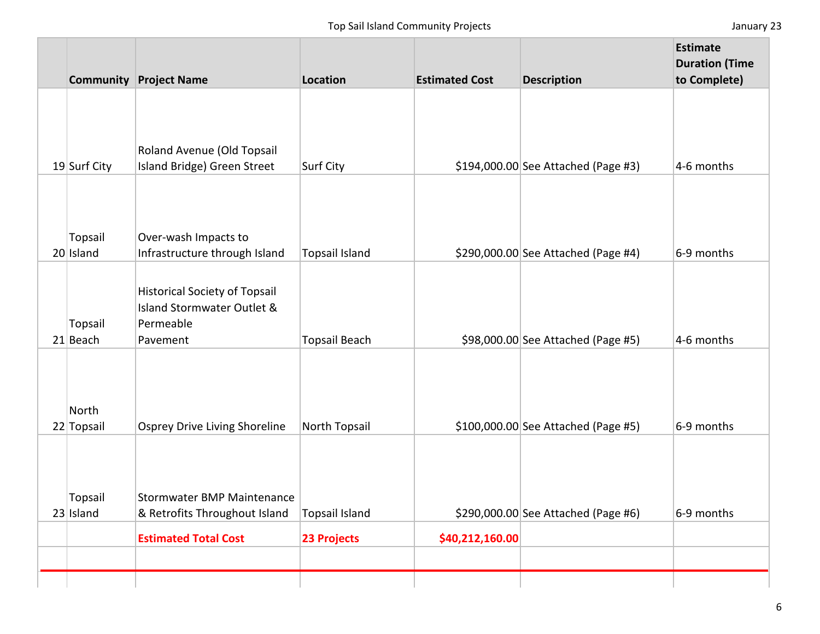| <b>Community</b>       | <b>Project Name</b>                                                                         | Location              | <b>Estimated Cost</b> | <b>Description</b>                  | <b>Estimate</b><br><b>Duration (Time</b><br>to Complete) |
|------------------------|---------------------------------------------------------------------------------------------|-----------------------|-----------------------|-------------------------------------|----------------------------------------------------------|
| 19 Surf City           | Roland Avenue (Old Topsail<br>Island Bridge) Green Street                                   | Surf City             |                       | \$194,000.00 See Attached (Page #3) | 4-6 months                                               |
| Topsail<br>20 Island   | Over-wash Impacts to<br>Infrastructure through Island                                       | <b>Topsail Island</b> |                       | \$290,000.00 See Attached (Page #4) | 6-9 months                                               |
| Topsail<br>$21$ Beach  | <b>Historical Society of Topsail</b><br>Island Stormwater Outlet &<br>Permeable<br>Pavement | <b>Topsail Beach</b>  |                       | \$98,000.00 See Attached (Page #5)  | 4-6 months                                               |
| North<br>22 Topsail    | Osprey Drive Living Shoreline                                                               | North Topsail         |                       | \$100,000.00 See Attached (Page #5) | 6-9 months                                               |
| Topsail<br>$23$ Island | <b>Stormwater BMP Maintenance</b><br>& Retrofits Throughout Island                          | <b>Topsail Island</b> |                       | \$290,000.00 See Attached (Page #6) | 6-9 months                                               |
|                        | <b>Estimated Total Cost</b>                                                                 | 23 Projects           | \$40,212,160.00       |                                     |                                                          |
|                        |                                                                                             |                       |                       |                                     |                                                          |